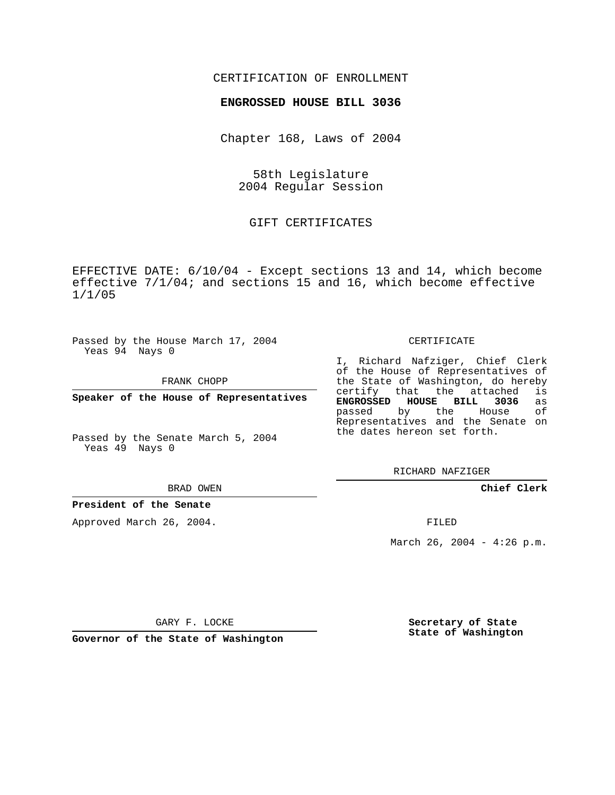## CERTIFICATION OF ENROLLMENT

## **ENGROSSED HOUSE BILL 3036**

Chapter 168, Laws of 2004

58th Legislature 2004 Regular Session

GIFT CERTIFICATES

EFFECTIVE DATE: 6/10/04 - Except sections 13 and 14, which become effective 7/1/04; and sections 15 and 16, which become effective 1/1/05

Passed by the House March 17, 2004 Yeas 94 Nays 0

FRANK CHOPP

**Speaker of the House of Representatives**

Passed by the Senate March 5, 2004 Yeas 49 Nays 0

BRAD OWEN

## **President of the Senate**

Approved March 26, 2004.

CERTIFICATE

I, Richard Nafziger, Chief Clerk of the House of Representatives of the State of Washington, do hereby<br>certify that the attached is that the attached **ENGROSSED HOUSE BILL 3036** as passed by the House of Representatives and the Senate on the dates hereon set forth.

RICHARD NAFZIGER

**Chief Clerk**

FILED

March 26, 2004 -  $4:26$  p.m.

GARY F. LOCKE

**Governor of the State of Washington**

**Secretary of State State of Washington**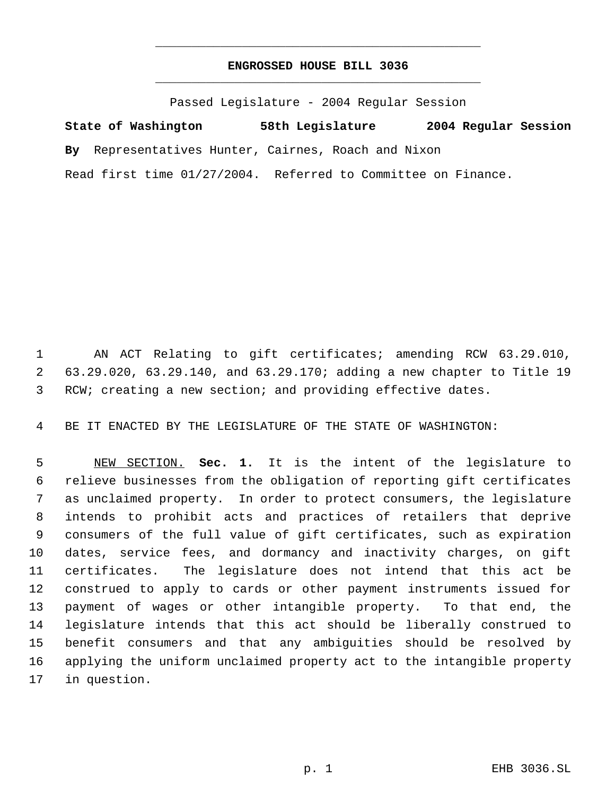## **ENGROSSED HOUSE BILL 3036** \_\_\_\_\_\_\_\_\_\_\_\_\_\_\_\_\_\_\_\_\_\_\_\_\_\_\_\_\_\_\_\_\_\_\_\_\_\_\_\_\_\_\_\_\_

\_\_\_\_\_\_\_\_\_\_\_\_\_\_\_\_\_\_\_\_\_\_\_\_\_\_\_\_\_\_\_\_\_\_\_\_\_\_\_\_\_\_\_\_\_

Passed Legislature - 2004 Regular Session

**State of Washington 58th Legislature 2004 Regular Session By** Representatives Hunter, Cairnes, Roach and Nixon Read first time 01/27/2004. Referred to Committee on Finance.

 AN ACT Relating to gift certificates; amending RCW 63.29.010, 63.29.020, 63.29.140, and 63.29.170; adding a new chapter to Title 19 RCW; creating a new section; and providing effective dates.

BE IT ENACTED BY THE LEGISLATURE OF THE STATE OF WASHINGTON:

 NEW SECTION. **Sec. 1.** It is the intent of the legislature to relieve businesses from the obligation of reporting gift certificates as unclaimed property. In order to protect consumers, the legislature intends to prohibit acts and practices of retailers that deprive consumers of the full value of gift certificates, such as expiration dates, service fees, and dormancy and inactivity charges, on gift certificates. The legislature does not intend that this act be construed to apply to cards or other payment instruments issued for payment of wages or other intangible property. To that end, the legislature intends that this act should be liberally construed to benefit consumers and that any ambiguities should be resolved by applying the uniform unclaimed property act to the intangible property in question.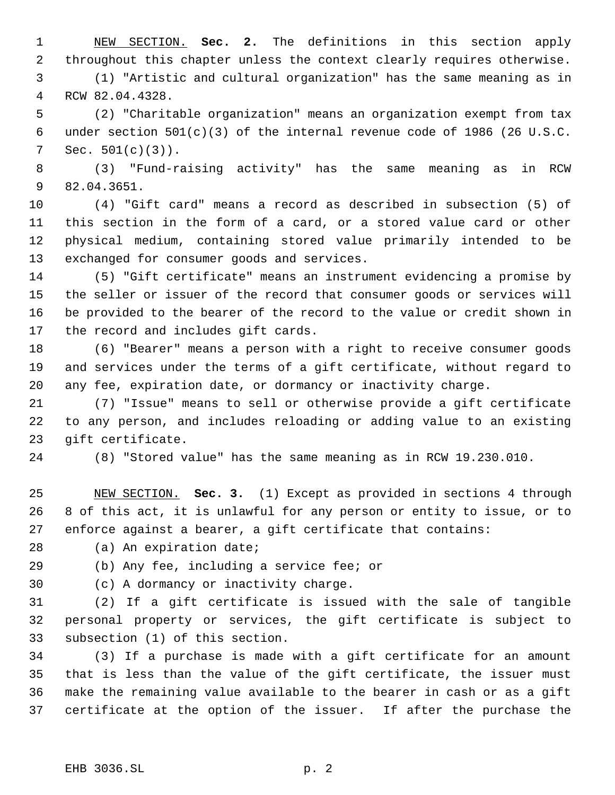NEW SECTION. **Sec. 2.** The definitions in this section apply throughout this chapter unless the context clearly requires otherwise.

 (1) "Artistic and cultural organization" has the same meaning as in RCW 82.04.4328.

 (2) "Charitable organization" means an organization exempt from tax under section 501(c)(3) of the internal revenue code of 1986 (26 U.S.C. Sec. 501(c)(3)).

 (3) "Fund-raising activity" has the same meaning as in RCW 82.04.3651.

 (4) "Gift card" means a record as described in subsection (5) of this section in the form of a card, or a stored value card or other physical medium, containing stored value primarily intended to be exchanged for consumer goods and services.

 (5) "Gift certificate" means an instrument evidencing a promise by the seller or issuer of the record that consumer goods or services will be provided to the bearer of the record to the value or credit shown in the record and includes gift cards.

 (6) "Bearer" means a person with a right to receive consumer goods and services under the terms of a gift certificate, without regard to any fee, expiration date, or dormancy or inactivity charge.

 (7) "Issue" means to sell or otherwise provide a gift certificate to any person, and includes reloading or adding value to an existing gift certificate.

(8) "Stored value" has the same meaning as in RCW 19.230.010.

 NEW SECTION. **Sec. 3.** (1) Except as provided in sections 4 through 8 of this act, it is unlawful for any person or entity to issue, or to enforce against a bearer, a gift certificate that contains:

(a) An expiration date;

(b) Any fee, including a service fee; or

(c) A dormancy or inactivity charge.

 (2) If a gift certificate is issued with the sale of tangible personal property or services, the gift certificate is subject to subsection (1) of this section.

 (3) If a purchase is made with a gift certificate for an amount that is less than the value of the gift certificate, the issuer must make the remaining value available to the bearer in cash or as a gift certificate at the option of the issuer. If after the purchase the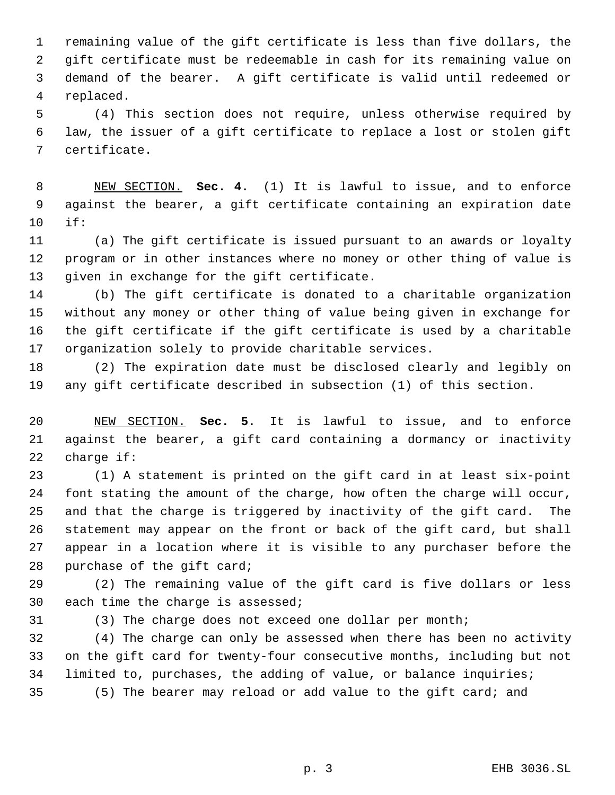remaining value of the gift certificate is less than five dollars, the gift certificate must be redeemable in cash for its remaining value on demand of the bearer. A gift certificate is valid until redeemed or replaced.

 (4) This section does not require, unless otherwise required by law, the issuer of a gift certificate to replace a lost or stolen gift certificate.

 NEW SECTION. **Sec. 4.** (1) It is lawful to issue, and to enforce against the bearer, a gift certificate containing an expiration date if:

 (a) The gift certificate is issued pursuant to an awards or loyalty program or in other instances where no money or other thing of value is given in exchange for the gift certificate.

 (b) The gift certificate is donated to a charitable organization without any money or other thing of value being given in exchange for the gift certificate if the gift certificate is used by a charitable organization solely to provide charitable services.

 (2) The expiration date must be disclosed clearly and legibly on any gift certificate described in subsection (1) of this section.

 NEW SECTION. **Sec. 5.** It is lawful to issue, and to enforce against the bearer, a gift card containing a dormancy or inactivity charge if:

 (1) A statement is printed on the gift card in at least six-point font stating the amount of the charge, how often the charge will occur, and that the charge is triggered by inactivity of the gift card. The statement may appear on the front or back of the gift card, but shall appear in a location where it is visible to any purchaser before the purchase of the gift card;

 (2) The remaining value of the gift card is five dollars or less each time the charge is assessed;

(3) The charge does not exceed one dollar per month;

 (4) The charge can only be assessed when there has been no activity on the gift card for twenty-four consecutive months, including but not limited to, purchases, the adding of value, or balance inquiries; (5) The bearer may reload or add value to the gift card; and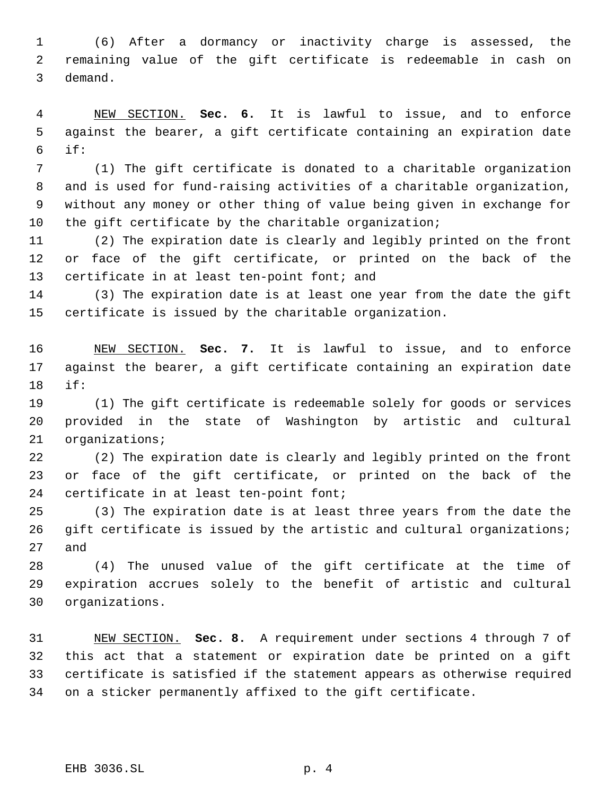(6) After a dormancy or inactivity charge is assessed, the remaining value of the gift certificate is redeemable in cash on demand.

 NEW SECTION. **Sec. 6.** It is lawful to issue, and to enforce against the bearer, a gift certificate containing an expiration date if:

 (1) The gift certificate is donated to a charitable organization and is used for fund-raising activities of a charitable organization, without any money or other thing of value being given in exchange for the gift certificate by the charitable organization;

 (2) The expiration date is clearly and legibly printed on the front or face of the gift certificate, or printed on the back of the certificate in at least ten-point font; and

 (3) The expiration date is at least one year from the date the gift certificate is issued by the charitable organization.

 NEW SECTION. **Sec. 7.** It is lawful to issue, and to enforce against the bearer, a gift certificate containing an expiration date if:

 (1) The gift certificate is redeemable solely for goods or services provided in the state of Washington by artistic and cultural organizations;

 (2) The expiration date is clearly and legibly printed on the front or face of the gift certificate, or printed on the back of the certificate in at least ten-point font;

 (3) The expiration date is at least three years from the date the 26 gift certificate is issued by the artistic and cultural organizations; and

 (4) The unused value of the gift certificate at the time of expiration accrues solely to the benefit of artistic and cultural organizations.

 NEW SECTION. **Sec. 8.** A requirement under sections 4 through 7 of this act that a statement or expiration date be printed on a gift certificate is satisfied if the statement appears as otherwise required on a sticker permanently affixed to the gift certificate.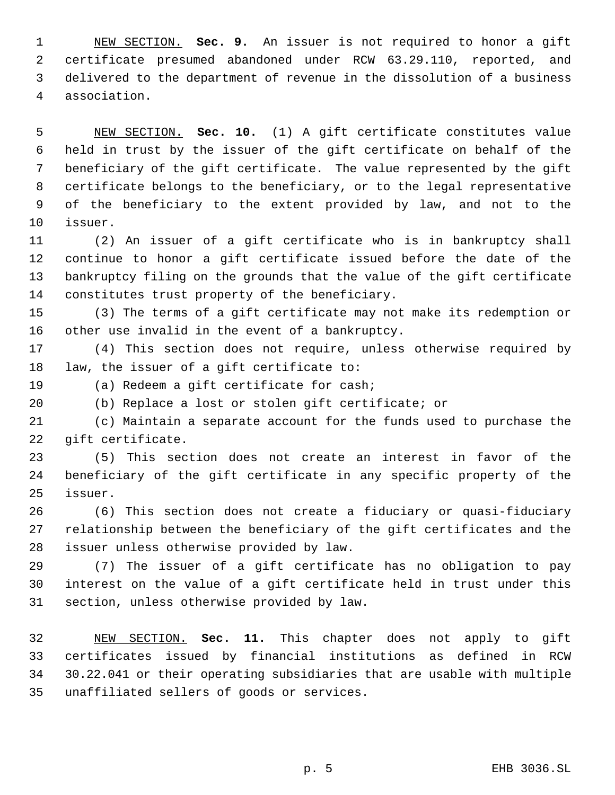NEW SECTION. **Sec. 9.** An issuer is not required to honor a gift certificate presumed abandoned under RCW 63.29.110, reported, and delivered to the department of revenue in the dissolution of a business association.

 NEW SECTION. **Sec. 10.** (1) A gift certificate constitutes value held in trust by the issuer of the gift certificate on behalf of the beneficiary of the gift certificate. The value represented by the gift certificate belongs to the beneficiary, or to the legal representative of the beneficiary to the extent provided by law, and not to the issuer.

 (2) An issuer of a gift certificate who is in bankruptcy shall continue to honor a gift certificate issued before the date of the bankruptcy filing on the grounds that the value of the gift certificate constitutes trust property of the beneficiary.

 (3) The terms of a gift certificate may not make its redemption or other use invalid in the event of a bankruptcy.

 (4) This section does not require, unless otherwise required by law, the issuer of a gift certificate to:

(a) Redeem a gift certificate for cash;

(b) Replace a lost or stolen gift certificate; or

 (c) Maintain a separate account for the funds used to purchase the gift certificate.

 (5) This section does not create an interest in favor of the beneficiary of the gift certificate in any specific property of the issuer.

 (6) This section does not create a fiduciary or quasi-fiduciary relationship between the beneficiary of the gift certificates and the issuer unless otherwise provided by law.

 (7) The issuer of a gift certificate has no obligation to pay interest on the value of a gift certificate held in trust under this section, unless otherwise provided by law.

 NEW SECTION. **Sec. 11.** This chapter does not apply to gift certificates issued by financial institutions as defined in RCW 30.22.041 or their operating subsidiaries that are usable with multiple unaffiliated sellers of goods or services.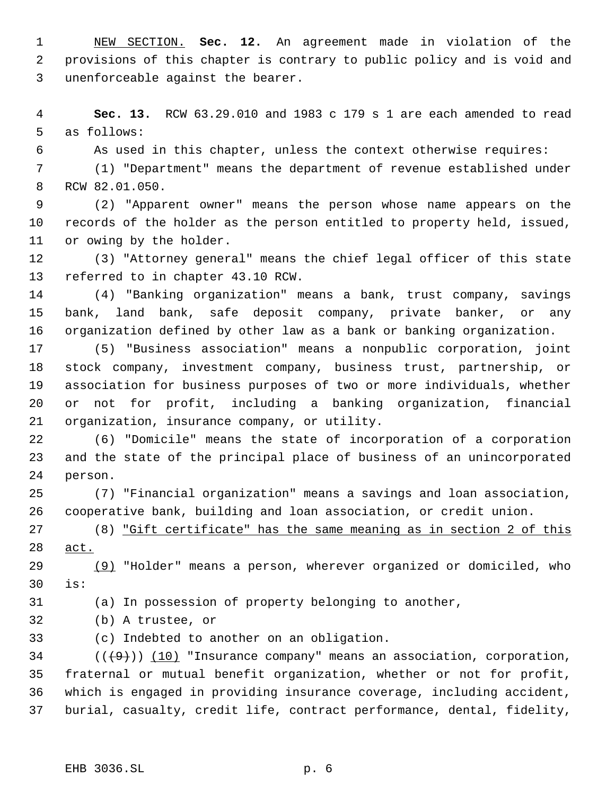NEW SECTION. **Sec. 12.** An agreement made in violation of the provisions of this chapter is contrary to public policy and is void and unenforceable against the bearer.

 **Sec. 13.** RCW 63.29.010 and 1983 c 179 s 1 are each amended to read as follows:

As used in this chapter, unless the context otherwise requires:

 (1) "Department" means the department of revenue established under RCW 82.01.050.

 (2) "Apparent owner" means the person whose name appears on the records of the holder as the person entitled to property held, issued, or owing by the holder.

 (3) "Attorney general" means the chief legal officer of this state referred to in chapter 43.10 RCW.

 (4) "Banking organization" means a bank, trust company, savings bank, land bank, safe deposit company, private banker, or any organization defined by other law as a bank or banking organization.

 (5) "Business association" means a nonpublic corporation, joint stock company, investment company, business trust, partnership, or association for business purposes of two or more individuals, whether or not for profit, including a banking organization, financial organization, insurance company, or utility.

 (6) "Domicile" means the state of incorporation of a corporation and the state of the principal place of business of an unincorporated person.

 (7) "Financial organization" means a savings and loan association, cooperative bank, building and loan association, or credit union.

 (8) "Gift certificate" has the same meaning as in section 2 of this act.

 (9) "Holder" means a person, wherever organized or domiciled, who is:

(a) In possession of property belonging to another,

(b) A trustee, or

(c) Indebted to another on an obligation.

34 ( $(\overline{+9})$ ) (10) "Insurance company" means an association, corporation, fraternal or mutual benefit organization, whether or not for profit, which is engaged in providing insurance coverage, including accident, burial, casualty, credit life, contract performance, dental, fidelity,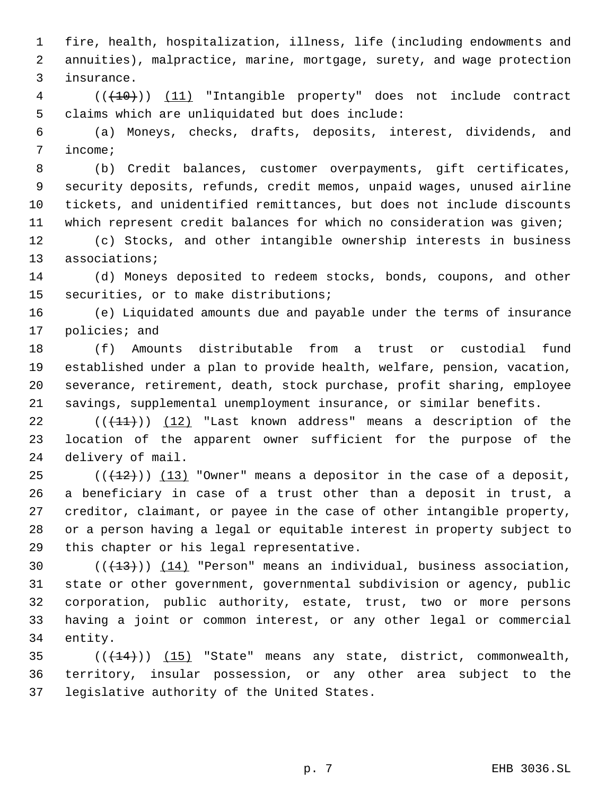fire, health, hospitalization, illness, life (including endowments and annuities), malpractice, marine, mortgage, surety, and wage protection insurance.

 (((10))) (11) "Intangible property" does not include contract claims which are unliquidated but does include:

 (a) Moneys, checks, drafts, deposits, interest, dividends, and income;

 (b) Credit balances, customer overpayments, gift certificates, security deposits, refunds, credit memos, unpaid wages, unused airline tickets, and unidentified remittances, but does not include discounts which represent credit balances for which no consideration was given;

 (c) Stocks, and other intangible ownership interests in business associations;

 (d) Moneys deposited to redeem stocks, bonds, coupons, and other securities, or to make distributions;

 (e) Liquidated amounts due and payable under the terms of insurance policies; and

 (f) Amounts distributable from a trust or custodial fund established under a plan to provide health, welfare, pension, vacation, severance, retirement, death, stock purchase, profit sharing, employee savings, supplemental unemployment insurance, or similar benefits.

 $((+11))$   $(12)$  "Last known address" means a description of the location of the apparent owner sufficient for the purpose of the delivery of mail.

 (( $(12)$ )) (13) "Owner" means a depositor in the case of a deposit, a beneficiary in case of a trust other than a deposit in trust, a creditor, claimant, or payee in the case of other intangible property, or a person having a legal or equitable interest in property subject to this chapter or his legal representative.

 $((+13))$   $(14)$  "Person" means an individual, business association, state or other government, governmental subdivision or agency, public corporation, public authority, estate, trust, two or more persons having a joint or common interest, or any other legal or commercial entity.

35  $((+14))$   $(15)$  "State" means any state, district, commonwealth, territory, insular possession, or any other area subject to the legislative authority of the United States.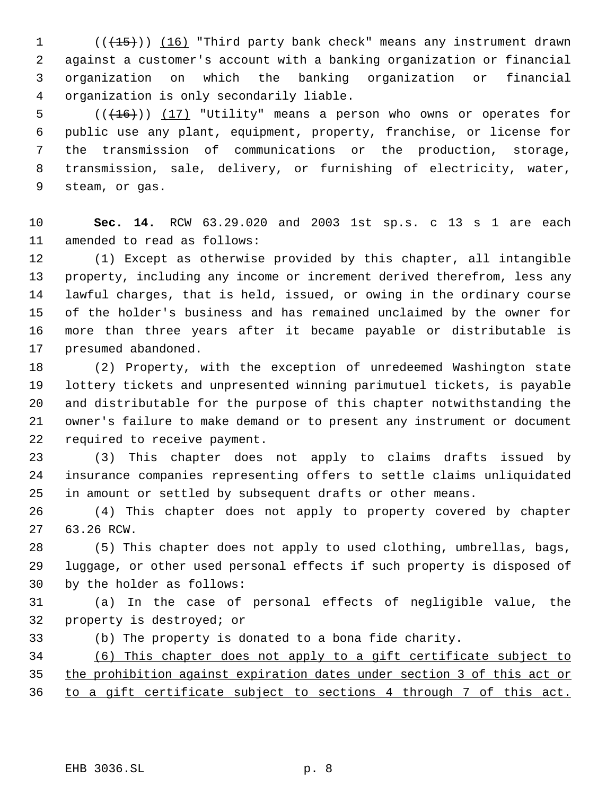1 (( $\overline{(15)}}$ )) (16) "Third party bank check" means any instrument drawn against a customer's account with a banking organization or financial organization on which the banking organization or financial organization is only secondarily liable.

 $((+16))$   $(17)$  "Utility" means a person who owns or operates for public use any plant, equipment, property, franchise, or license for the transmission of communications or the production, storage, transmission, sale, delivery, or furnishing of electricity, water, steam, or gas.

 **Sec. 14.** RCW 63.29.020 and 2003 1st sp.s. c 13 s 1 are each amended to read as follows:

 (1) Except as otherwise provided by this chapter, all intangible property, including any income or increment derived therefrom, less any lawful charges, that is held, issued, or owing in the ordinary course of the holder's business and has remained unclaimed by the owner for more than three years after it became payable or distributable is presumed abandoned.

 (2) Property, with the exception of unredeemed Washington state lottery tickets and unpresented winning parimutuel tickets, is payable and distributable for the purpose of this chapter notwithstanding the owner's failure to make demand or to present any instrument or document required to receive payment.

 (3) This chapter does not apply to claims drafts issued by insurance companies representing offers to settle claims unliquidated in amount or settled by subsequent drafts or other means.

 (4) This chapter does not apply to property covered by chapter 63.26 RCW.

 (5) This chapter does not apply to used clothing, umbrellas, bags, luggage, or other used personal effects if such property is disposed of by the holder as follows:

 (a) In the case of personal effects of negligible value, the property is destroyed; or

(b) The property is donated to a bona fide charity.

 (6) This chapter does not apply to a gift certificate subject to the prohibition against expiration dates under section 3 of this act or to a gift certificate subject to sections 4 through 7 of this act.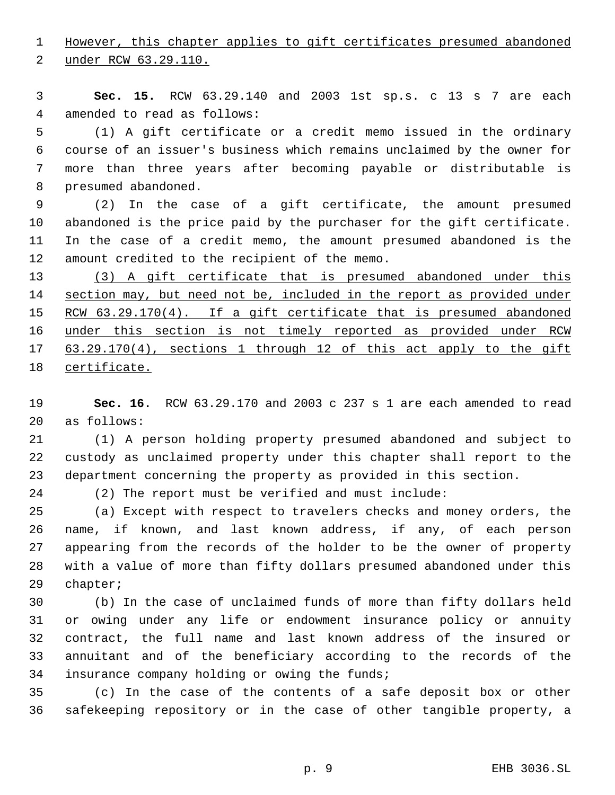However, this chapter applies to gift certificates presumed abandoned

under RCW 63.29.110.

 **Sec. 15.** RCW 63.29.140 and 2003 1st sp.s. c 13 s 7 are each amended to read as follows:

 (1) A gift certificate or a credit memo issued in the ordinary course of an issuer's business which remains unclaimed by the owner for more than three years after becoming payable or distributable is presumed abandoned.

 (2) In the case of a gift certificate, the amount presumed abandoned is the price paid by the purchaser for the gift certificate. In the case of a credit memo, the amount presumed abandoned is the amount credited to the recipient of the memo.

 (3) A gift certificate that is presumed abandoned under this 14 section may, but need not be, included in the report as provided under 15 RCW 63.29.170(4). If a gift certificate that is presumed abandoned under this section is not timely reported as provided under RCW 63.29.170(4), sections 1 through 12 of this act apply to the gift certificate.

 **Sec. 16.** RCW 63.29.170 and 2003 c 237 s 1 are each amended to read as follows:

 (1) A person holding property presumed abandoned and subject to custody as unclaimed property under this chapter shall report to the department concerning the property as provided in this section.

(2) The report must be verified and must include:

 (a) Except with respect to travelers checks and money orders, the name, if known, and last known address, if any, of each person appearing from the records of the holder to be the owner of property with a value of more than fifty dollars presumed abandoned under this chapter;

 (b) In the case of unclaimed funds of more than fifty dollars held or owing under any life or endowment insurance policy or annuity contract, the full name and last known address of the insured or annuitant and of the beneficiary according to the records of the insurance company holding or owing the funds;

 (c) In the case of the contents of a safe deposit box or other safekeeping repository or in the case of other tangible property, a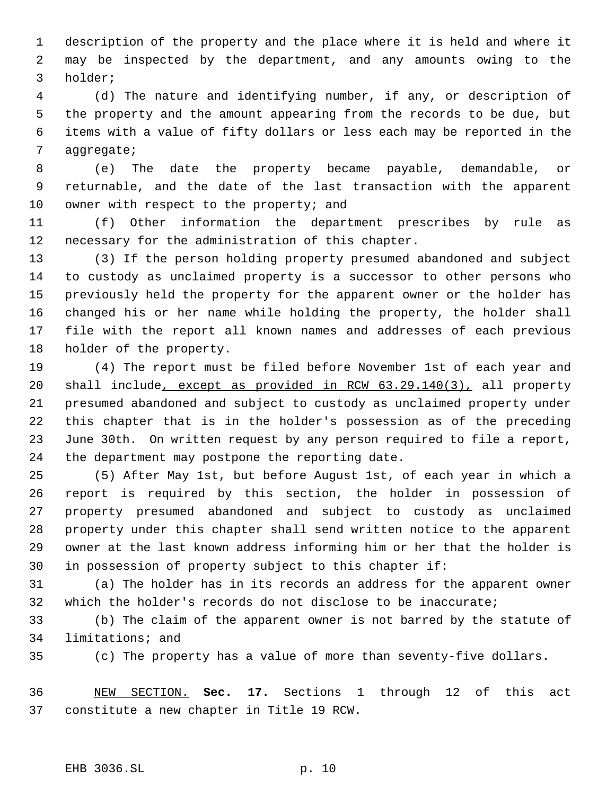description of the property and the place where it is held and where it may be inspected by the department, and any amounts owing to the holder;

 (d) The nature and identifying number, if any, or description of the property and the amount appearing from the records to be due, but items with a value of fifty dollars or less each may be reported in the aggregate;

 (e) The date the property became payable, demandable, or returnable, and the date of the last transaction with the apparent 10 owner with respect to the property; and

 (f) Other information the department prescribes by rule as necessary for the administration of this chapter.

 (3) If the person holding property presumed abandoned and subject to custody as unclaimed property is a successor to other persons who previously held the property for the apparent owner or the holder has changed his or her name while holding the property, the holder shall file with the report all known names and addresses of each previous holder of the property.

 (4) The report must be filed before November 1st of each year and shall include, except as provided in RCW 63.29.140(3), all property presumed abandoned and subject to custody as unclaimed property under this chapter that is in the holder's possession as of the preceding June 30th. On written request by any person required to file a report, the department may postpone the reporting date.

 (5) After May 1st, but before August 1st, of each year in which a report is required by this section, the holder in possession of property presumed abandoned and subject to custody as unclaimed property under this chapter shall send written notice to the apparent owner at the last known address informing him or her that the holder is in possession of property subject to this chapter if:

 (a) The holder has in its records an address for the apparent owner which the holder's records do not disclose to be inaccurate;

 (b) The claim of the apparent owner is not barred by the statute of limitations; and

(c) The property has a value of more than seventy-five dollars.

 NEW SECTION. **Sec. 17.** Sections 1 through 12 of this act constitute a new chapter in Title 19 RCW.